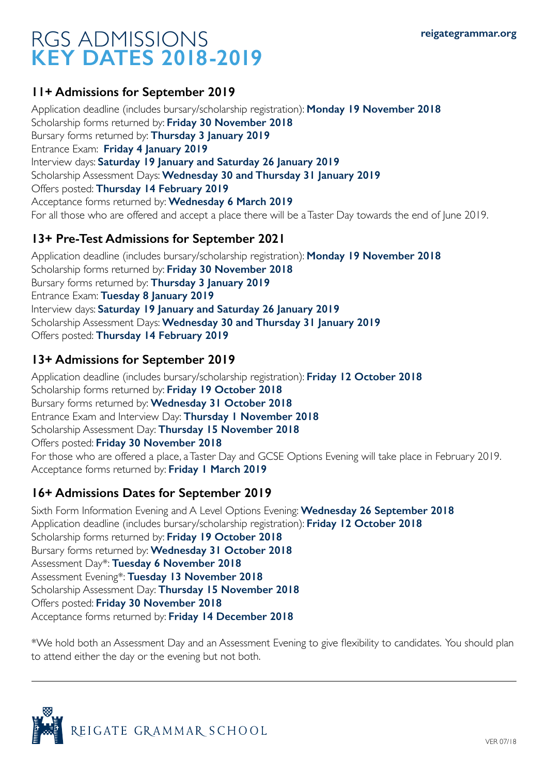# RGS ADMISSIONS **KEY DATES 2018-2019**

#### **11+ Admissions for September 2019**

Application deadline (includes bursary/scholarship registration): **Monday 19 November 2018** Scholarship forms returned by: **Friday 30 November 2018** Bursary forms returned by: **Thursday 3 January 2019** Entrance Exam: **Friday 4 January 2019** Interview days: **Saturday 19 January and Saturday 26 January 2019** Scholarship Assessment Days: **Wednesday 30 and Thursday 31 January 2019** Offers posted: **Thursday 14 February 2019** Acceptance forms returned by: **Wednesday 6 March 2019** For all those who are offered and accept a place there will be a Taster Day towards the end of June 2019.

#### **13+ Pre-Test Admissions for September 2021**

Application deadline (includes bursary/scholarship registration): **Monday 19 November 2018** Scholarship forms returned by: **Friday 30 November 2018** Bursary forms returned by: **Thursday 3 January 2019** Entrance Exam: **Tuesday 8 January 2019** Interview days: **Saturday 19 January and Saturday 26 January 2019** Scholarship Assessment Days: **Wednesday 30 and Thursday 31 January 2019** Offers posted: **Thursday 14 February 2019**

#### **13+ Admissions for September 2019**

Application deadline (includes bursary/scholarship registration): **Friday 12 October 2018** Scholarship forms returned by: **Friday 19 October 2018** Bursary forms returned by: **Wednesday 31 October 2018** Entrance Exam and Interview Day: **Thursday 1 November 2018** Scholarship Assessment Day: **Thursday 15 November 2018** Offers posted: **Friday 30 November 2018** For those who are offered a place, a Taster Day and GCSE Options Evening will take place in February 2019. Acceptance forms returned by: **Friday 1 March 2019** 

#### **16+ Admissions Dates for September 2019**

Sixth Form Information Evening and A Level Options Evening: **Wednesday 26 September 2018** Application deadline (includes bursary/scholarship registration): **Friday 12 October 2018** Scholarship forms returned by: **Friday 19 October 2018** Bursary forms returned by: **Wednesday 31 October 2018** Assessment Day\*: **Tuesday 6 November 2018**  Assessment Evening\*: **Tuesday 13 November 2018**  Scholarship Assessment Day: **Thursday 15 November 2018** Offers posted: **Friday 30 November 2018** Acceptance forms returned by: **Friday 14 December 2018**

\*We hold both an Assessment Day and an Assessment Evening to give flexibility to candidates. You should plan to attend either the day or the evening but not both.